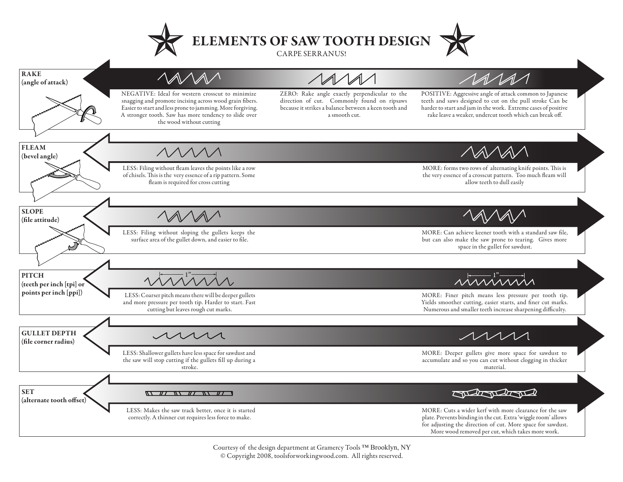



Courtesy of the design department at Gramercy Tools ™ Brooklyn, NY © Copyright 2008, toolsforworkingwood.com. All rights reserved.